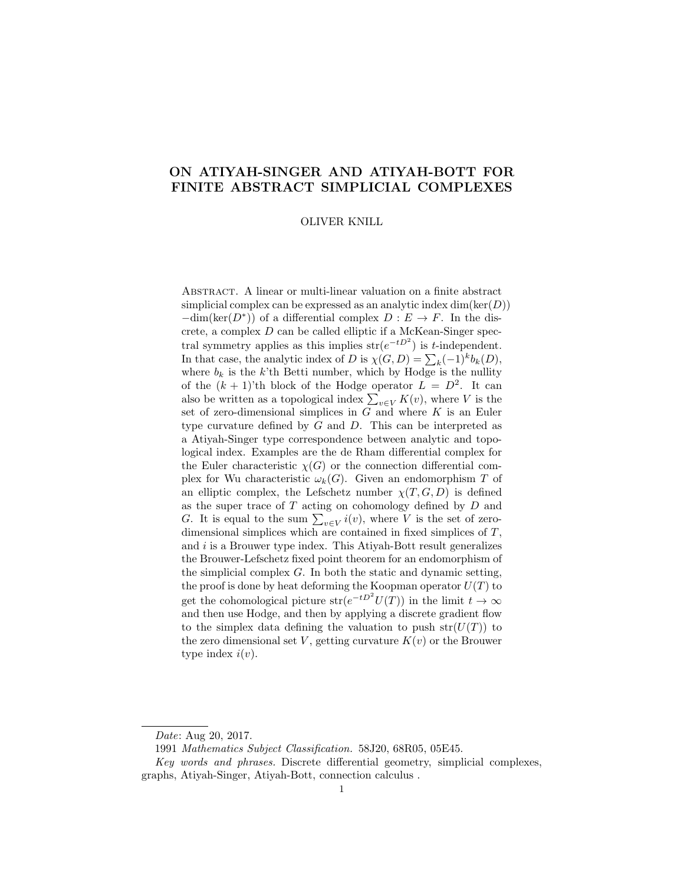# ON ATIYAH-SINGER AND ATIYAH-BOTT FOR FINITE ABSTRACT SIMPLICIAL COMPLEXES

#### OLIVER KNILL

Abstract. A linear or multi-linear valuation on a finite abstract simplicial complex can be expressed as an analytic index  $dim(ker(D))$  $-\dim(\ker(D^*))$  of a differential complex  $D : E \to F$ . In the discrete, a complex D can be called elliptic if a McKean-Singer spectral symmetry applies as this implies  $str(e^{-tD^2})$  is t-independent. In that case, the analytic index of D is  $\chi(G, D) = \sum_{k} (-1)^{k} b_{k}(D)$ , where  $b_k$  is the k'th Betti number, which by Hodge is the nullity of the  $(k + 1)$ 'th block of the Hodge operator  $L = D^2$ . It can also be written as a topological index  $\sum_{v \in V} K(v)$ , where V is the set of zero-dimensional simplices in  $G$  and where  $K$  is an Euler type curvature defined by  $G$  and  $D$ . This can be interpreted as a Atiyah-Singer type correspondence between analytic and topological index. Examples are the de Rham differential complex for the Euler characteristic  $\chi(G)$  or the connection differential complex for Wu characteristic  $\omega_k(G)$ . Given an endomorphism T of an elliptic complex, the Lefschetz number  $\chi(T, G, D)$  is defined as the super trace of T acting on cohomology defined by D and G. It is equal to the sum  $\sum_{v \in V} i(v)$ , where V is the set of zerodimensional simplices which are contained in fixed simplices of T, and  $i$  is a Brouwer type index. This Atiyah-Bott result generalizes the Brouwer-Lefschetz fixed point theorem for an endomorphism of the simplicial complex  $G$ . In both the static and dynamic setting, the proof is done by heat deforming the Koopman operator  $U(T)$  to get the cohomological picture  $str(e^{-tD^2}U(T))$  in the limit  $t \to \infty$ and then use Hodge, and then by applying a discrete gradient flow to the simplex data defining the valuation to push  $str(U(T))$  to the zero dimensional set V, getting curvature  $K(v)$  or the Brouwer type index  $i(v)$ .

Date: Aug 20, 2017.

<sup>1991</sup> Mathematics Subject Classification. 58J20, 68R05, 05E45.

Key words and phrases. Discrete differential geometry, simplicial complexes, graphs, Atiyah-Singer, Atiyah-Bott, connection calculus .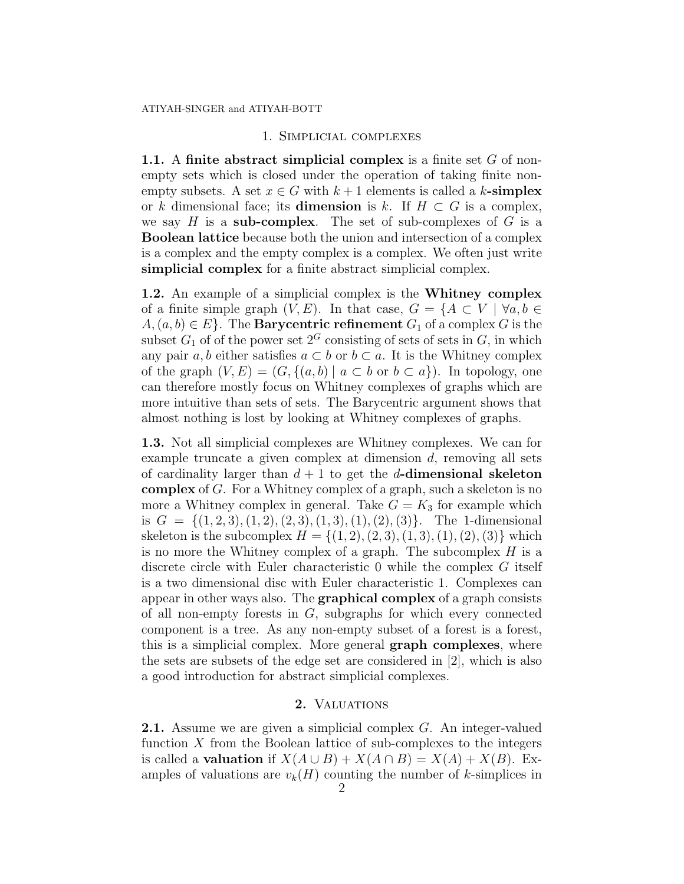# 1. Simplicial complexes

1.1. A finite abstract simplicial complex is a finite set  $G$  of nonempty sets which is closed under the operation of taking finite nonempty subsets. A set  $x \in G$  with  $k+1$  elements is called a k-simplex or k dimensional face; its **dimension** is k. If  $H \subset G$  is a complex, we say  $H$  is a sub-complex. The set of sub-complexes of  $G$  is a Boolean lattice because both the union and intersection of a complex is a complex and the empty complex is a complex. We often just write simplicial complex for a finite abstract simplicial complex.

1.2. An example of a simplicial complex is the Whitney complex of a finite simple graph  $(V, E)$ . In that case,  $G = \{A \subset V \mid \forall a, b \in$  $A, (a, b) \in E$ . The **Barycentric refinement**  $G_1$  of a complex G is the subset  $G_1$  of of the power set  $2^G$  consisting of sets of sets in  $G$ , in which any pair a, b either satisfies  $a \subset b$  or  $b \subset a$ . It is the Whitney complex of the graph  $(V, E) = (G, \{(a, b) | a \subset b \text{ or } b \subset a\})$ . In topology, one can therefore mostly focus on Whitney complexes of graphs which are more intuitive than sets of sets. The Barycentric argument shows that almost nothing is lost by looking at Whitney complexes of graphs.

1.3. Not all simplicial complexes are Whitney complexes. We can for example truncate a given complex at dimension  $d$ , removing all sets of cardinality larger than  $d+1$  to get the d-dimensional skeleton complex of G. For a Whitney complex of a graph, such a skeleton is no more a Whitney complex in general. Take  $G = K_3$  for example which is  $G = \{(1, 2, 3), (1, 2), (2, 3), (1, 3), (1), (2), (3)\}.$  The 1-dimensional skeleton is the subcomplex  $H = \{(1, 2), (2, 3), (1, 3), (1), (2), (3)\}\$  which is no more the Whitney complex of a graph. The subcomplex  $H$  is a discrete circle with Euler characteristic 0 while the complex G itself is a two dimensional disc with Euler characteristic 1. Complexes can appear in other ways also. The graphical complex of a graph consists of all non-empty forests in G, subgraphs for which every connected component is a tree. As any non-empty subset of a forest is a forest, this is a simplicial complex. More general graph complexes, where the sets are subsets of the edge set are considered in [2], which is also a good introduction for abstract simplicial complexes.

## 2. VALUATIONS

**2.1.** Assume we are given a simplicial complex G. An integer-valued function  $X$  from the Boolean lattice of sub-complexes to the integers is called a **valuation** if  $X(A \cup B) + X(A \cap B) = X(A) + X(B)$ . Examples of valuations are  $v_k(H)$  counting the number of k-simplices in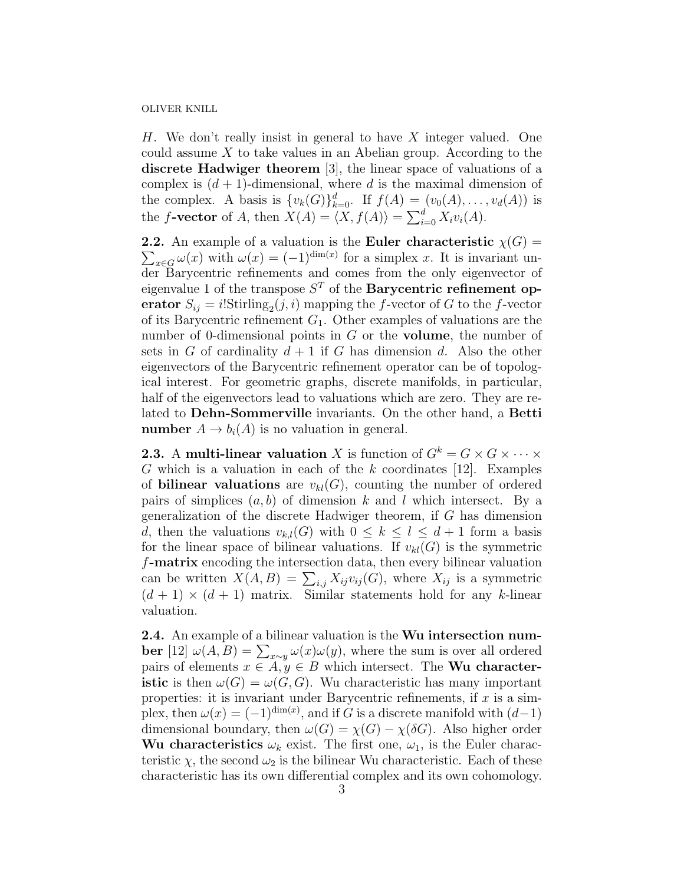H. We don't really insist in general to have X integer valued. One could assume X to take values in an Abelian group. According to the discrete Hadwiger theorem [3], the linear space of valuations of a complex is  $(d + 1)$ -dimensional, where d is the maximal dimension of the complex. A basis is  $\{v_k(G)\}_{k=0}^d$ . If  $f(A) = (v_0(A), \ldots, v_d(A))$  is the f-vector of A, then  $X(A) = \langle X, f(A) \rangle = \sum_{i=0}^{d} X_i v_i(A)$ .

**2.2.** An example of a valuation is the Euler characteristic  $\chi(G)$  =  $\sum_{x \in G} \omega(x)$  with  $\omega(x) = (-1)^{\dim(x)}$  for a simplex x. It is invariant under Barycentric refinements and comes from the only eigenvector of eigenvalue 1 of the transpose  $S<sup>T</sup>$  of the **Barycentric refinement op**erator  $S_{ij} = i!$ Stirling<sub>2</sub> $(j, i)$  mapping the f-vector of G to the f-vector of its Barycentric refinement  $G_1$ . Other examples of valuations are the number of 0-dimensional points in G or the **volume**, the number of sets in G of cardinality  $d+1$  if G has dimension d. Also the other eigenvectors of the Barycentric refinement operator can be of topological interest. For geometric graphs, discrete manifolds, in particular, half of the eigenvectors lead to valuations which are zero. They are related to Dehn-Sommerville invariants. On the other hand, a Betti **number**  $A \to b_i(A)$  is no valuation in general.

**2.3.** A multi-linear valuation X is function of  $G^k = G \times G \times \cdots \times G$ G which is a valuation in each of the  $k$  coordinates [12]. Examples of **bilinear valuations** are  $v_{kl}(G)$ , counting the number of ordered pairs of simplices  $(a, b)$  of dimension k and l which intersect. By a generalization of the discrete Hadwiger theorem, if G has dimension d, then the valuations  $v_{k,l}(G)$  with  $0 \leq k \leq l \leq d+1$  form a basis for the linear space of bilinear valuations. If  $v_{kl}(G)$  is the symmetric f-matrix encoding the intersection data, then every bilinear valuation can be written  $X(A, B) = \sum_{i,j} X_{ij} v_{ij}(G)$ , where  $X_{ij}$  is a symmetric  $(d + 1) \times (d + 1)$  matrix. Similar statements hold for any k-linear valuation.

2.4. An example of a bilinear valuation is the Wu intersection number [12]  $\omega(A, B) = \sum_{x \sim y} \omega(x) \omega(y)$ , where the sum is over all ordered pairs of elements  $x \in A, y \in B$  which intersect. The **Wu characteristic** is then  $\omega(G) = \omega(G, G)$ . Wu characteristic has many important properties: it is invariant under Barycentric refinements, if  $x$  is a simplex, then  $\omega(x) = (-1)^{\dim(x)}$ , and if G is a discrete manifold with  $(d-1)$ dimensional boundary, then  $\omega(G) = \chi(G) - \chi(\delta G)$ . Also higher order Wu characteristics  $\omega_k$  exist. The first one,  $\omega_1$ , is the Euler characteristic  $\chi$ , the second  $\omega_2$  is the bilinear Wu characteristic. Each of these characteristic has its own differential complex and its own cohomology.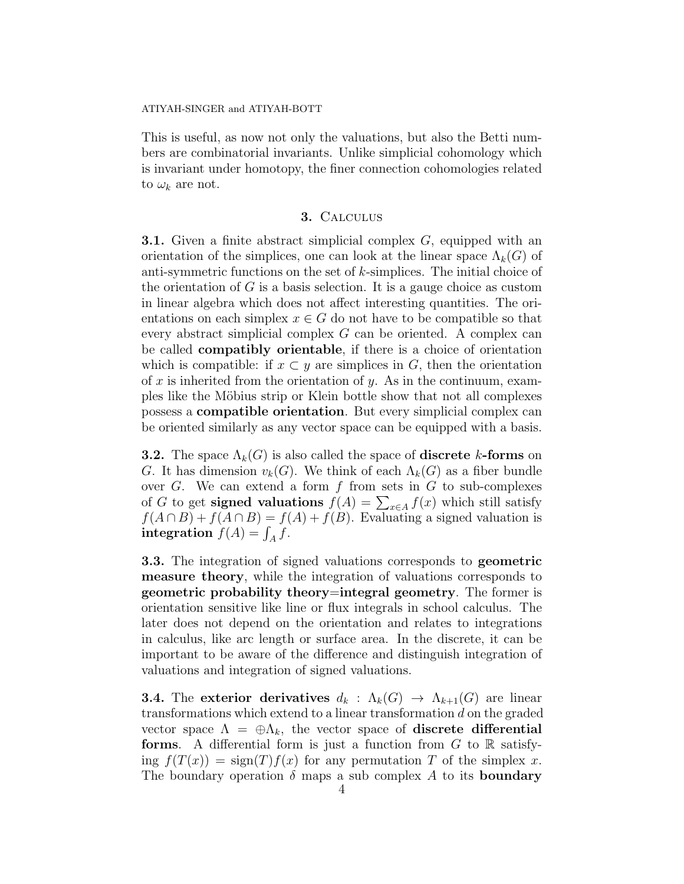This is useful, as now not only the valuations, but also the Betti numbers are combinatorial invariants. Unlike simplicial cohomology which is invariant under homotopy, the finer connection cohomologies related to  $\omega_k$  are not.

## 3. Calculus

**3.1.** Given a finite abstract simplicial complex G, equipped with an orientation of the simplices, one can look at the linear space  $\Lambda_k(G)$  of anti-symmetric functions on the set of  $k$ -simplices. The initial choice of the orientation of  $G$  is a basis selection. It is a gauge choice as custom in linear algebra which does not affect interesting quantities. The orientations on each simplex  $x \in G$  do not have to be compatible so that every abstract simplicial complex G can be oriented. A complex can be called compatibly orientable, if there is a choice of orientation which is compatible: if  $x \subset y$  are simplices in G, then the orientation of x is inherited from the orientation of y. As in the continuum, examples like the Möbius strip or Klein bottle show that not all complexes possess a compatible orientation. But every simplicial complex can be oriented similarly as any vector space can be equipped with a basis.

**3.2.** The space  $\Lambda_k(G)$  is also called the space of **discrete** k-forms on G. It has dimension  $v_k(G)$ . We think of each  $\Lambda_k(G)$  as a fiber bundle over  $G$ . We can extend a form  $f$  from sets in  $G$  to sub-complexes of G to get **signed valuations**  $f(A) = \sum_{x \in A} f(x)$  which still satisfy  $f(A \cap B) + f(A \cap B) = f(A) + f(B)$ . Evaluating a signed valuation is integration  $f(A) = \int_A f$ .

3.3. The integration of signed valuations corresponds to geometric measure theory, while the integration of valuations corresponds to geometric probability theory=integral geometry. The former is orientation sensitive like line or flux integrals in school calculus. The later does not depend on the orientation and relates to integrations in calculus, like arc length or surface area. In the discrete, it can be important to be aware of the difference and distinguish integration of valuations and integration of signed valuations.

**3.4.** The exterior derivatives  $d_k : \Lambda_k(G) \to \Lambda_{k+1}(G)$  are linear transformations which extend to a linear transformation  $d$  on the graded vector space  $\Lambda = \bigoplus \Lambda_k$ , the vector space of **discrete differential forms.** A differential form is just a function from  $G$  to  $\mathbb{R}$  satisfying  $f(T(x)) = \text{sign}(T)f(x)$  for any permutation T of the simplex x. The boundary operation  $\delta$  maps a sub complex A to its **boundary**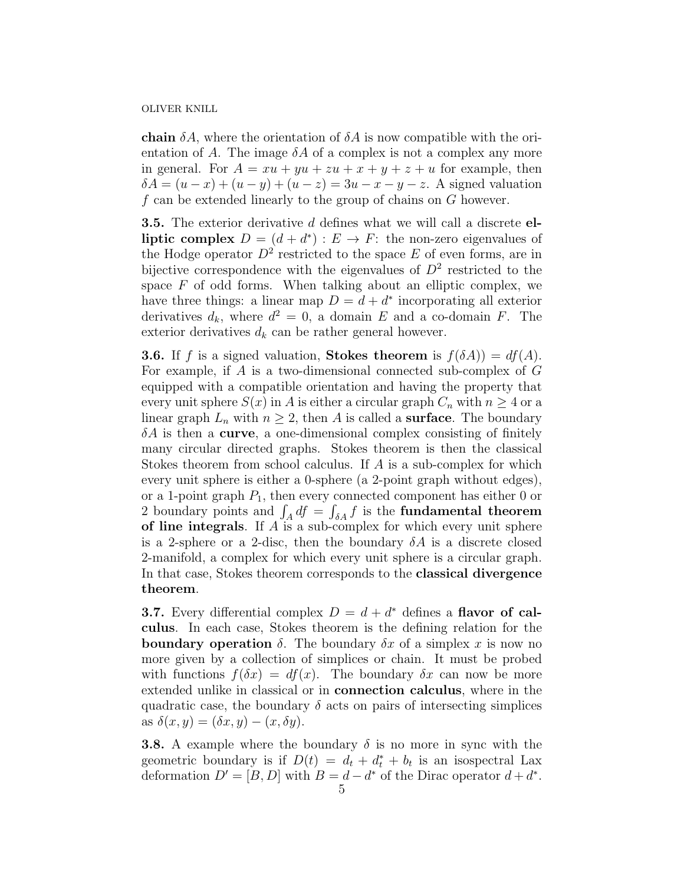**chain**  $\delta A$ , where the orientation of  $\delta A$  is now compatible with the orientation of A. The image  $\delta A$  of a complex is not a complex any more in general. For  $A = xu + yu + zu + x + y + z + u$  for example, then  $\delta A = (u - x) + (u - y) + (u - z) = 3u - x - y - z$ . A signed valuation f can be extended linearly to the group of chains on G however.

**3.5.** The exterior derivative d defines what we will call a discrete elliptic complex  $D = (d + d^*) : E \to F$ : the non-zero eigenvalues of the Hodge operator  $D^2$  restricted to the space E of even forms, are in bijective correspondence with the eigenvalues of  $D^2$  restricted to the space  $F$  of odd forms. When talking about an elliptic complex, we have three things: a linear map  $D = d + d^*$  incorporating all exterior derivatives  $d_k$ , where  $d^2 = 0$ , a domain E and a co-domain F. The exterior derivatives  $d_k$  can be rather general however.

**3.6.** If f is a signed valuation, **Stokes theorem** is  $f(\delta A) = df(A)$ . For example, if A is a two-dimensional connected sub-complex of G equipped with a compatible orientation and having the property that every unit sphere  $S(x)$  in A is either a circular graph  $C_n$  with  $n \geq 4$  or a linear graph  $L_n$  with  $n \geq 2$ , then A is called a **surface**. The boundary  $\delta A$  is then a **curve**, a one-dimensional complex consisting of finitely many circular directed graphs. Stokes theorem is then the classical Stokes theorem from school calculus. If A is a sub-complex for which every unit sphere is either a 0-sphere (a 2-point graph without edges), or a 1-point graph  $P_1$ , then every connected component has either 0 or 2 boundary points and  $\int_A df = \int_{\delta A} f$  is the **fundamental theorem** of line integrals. If  $A$  is a sub-complex for which every unit sphere is a 2-sphere or a 2-disc, then the boundary  $\delta A$  is a discrete closed 2-manifold, a complex for which every unit sphere is a circular graph. In that case, Stokes theorem corresponds to the classical divergence theorem.

**3.7.** Every differential complex  $D = d + d^*$  defines a **flavor of cal**culus. In each case, Stokes theorem is the defining relation for the **boundary operation**  $\delta$ . The boundary  $\delta x$  of a simplex x is now no more given by a collection of simplices or chain. It must be probed with functions  $f(\delta x) = df(x)$ . The boundary  $\delta x$  can now be more extended unlike in classical or in connection calculus, where in the quadratic case, the boundary  $\delta$  acts on pairs of intersecting simplices as  $\delta(x, y) = (\delta x, y) - (x, \delta y).$ 

**3.8.** A example where the boundary  $\delta$  is no more in sync with the geometric boundary is if  $D(t) = d_t + d_t^* + b_t$  is an isospectral Lax deformation  $D' = [B, D]$  with  $B = d - d^*$  of the Dirac operator  $d + d^*$ .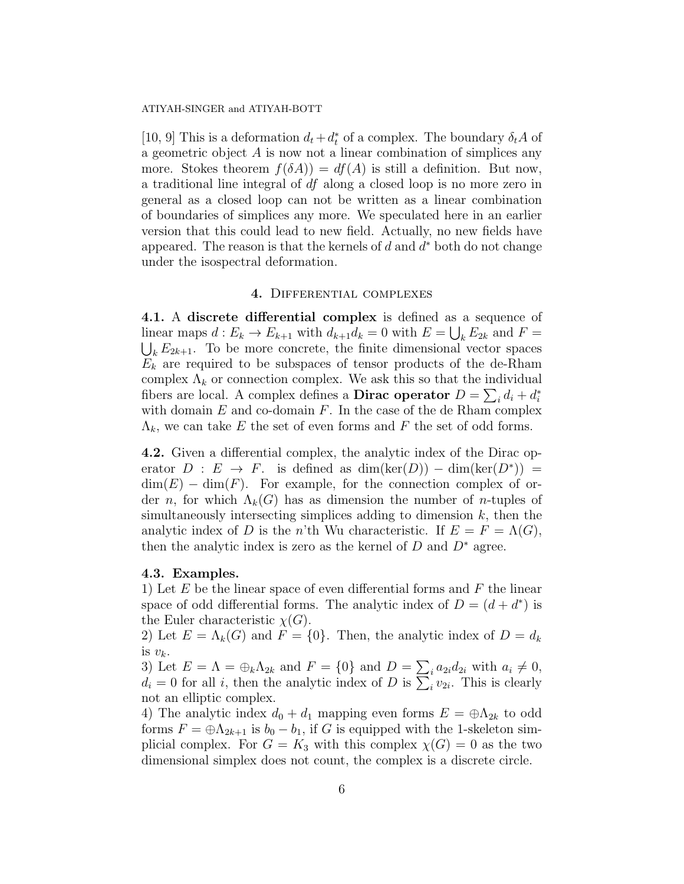#### ATIYAH-SINGER and ATIYAH-BOTT

[10, 9] This is a deformation  $d_t + d_t^*$  of a complex. The boundary  $\delta_t A$  of a geometric object A is now not a linear combination of simplices any more. Stokes theorem  $f(\delta A) = df(A)$  is still a definition. But now, a traditional line integral of df along a closed loop is no more zero in general as a closed loop can not be written as a linear combination of boundaries of simplices any more. We speculated here in an earlier version that this could lead to new field. Actually, no new fields have appeared. The reason is that the kernels of  $d$  and  $d^*$  both do not change under the isospectral deformation.

# 4. Differential complexes

4.1. A discrete differential complex is defined as a sequence of linear maps  $d: E_k \to E_{k+1}$  with  $d_{k+1}d_k = 0$  with  $E = \bigcup_k E_{2k}$  and  $F = \bigcup_k E_{2k+1}$ . To be more concrete, the finite dimensional vector spaces  $\bigcup_{k} E_{2k+1}$ . To be more concrete, the finite dimensional vector spaces  $E_k$  are required to be subspaces of tensor products of the de-Rham complex  $\Lambda_k$  or connection complex. We ask this so that the individual fibers are local. A complex defines a **Dirac operator**  $D = \sum_i d_i + d_i^*$ with domain  $E$  and co-domain  $F$ . In the case of the de Rham complex  $\Lambda_k$ , we can take E the set of even forms and F the set of odd forms.

4.2. Given a differential complex, the analytic index of the Dirac operator  $D : E \to F$ . is defined as  $dim(ker(D)) - dim(ker(D^*)) =$  $\dim(E) - \dim(F)$ . For example, for the connection complex of order n, for which  $\Lambda_k(G)$  has as dimension the number of n-tuples of simultaneously intersecting simplices adding to dimension  $k$ , then the analytic index of D is the n'th Wu characteristic. If  $E = F = \Lambda(G)$ , then the analytic index is zero as the kernel of  $D$  and  $D^*$  agree.

### 4.3. Examples.

1) Let  $E$  be the linear space of even differential forms and  $F$  the linear space of odd differential forms. The analytic index of  $D = (d + d^*)$  is the Euler characteristic  $\chi(G)$ .

2) Let  $E = \Lambda_k(G)$  and  $F = \{0\}$ . Then, the analytic index of  $D = d_k$ is  $v_k$ .

3) Let  $E = \Lambda = \bigoplus_k \Lambda_{2k}$  and  $F = \{0\}$  and  $D = \sum_i a_{2i} d_{2i}$  with  $a_i \neq 0$ ,  $d_i = 0$  for all i, then the analytic index of D is  $\sum_i v_{2i}$ . This is clearly not an elliptic complex.

4) The analytic index  $d_0 + d_1$  mapping even forms  $E = \bigoplus \Lambda_{2k}$  to odd forms  $F = \bigoplus \Lambda_{2k+1}$  is  $b_0 - b_1$ , if G is equipped with the 1-skeleton simplicial complex. For  $G = K_3$  with this complex  $\chi(G) = 0$  as the two dimensional simplex does not count, the complex is a discrete circle.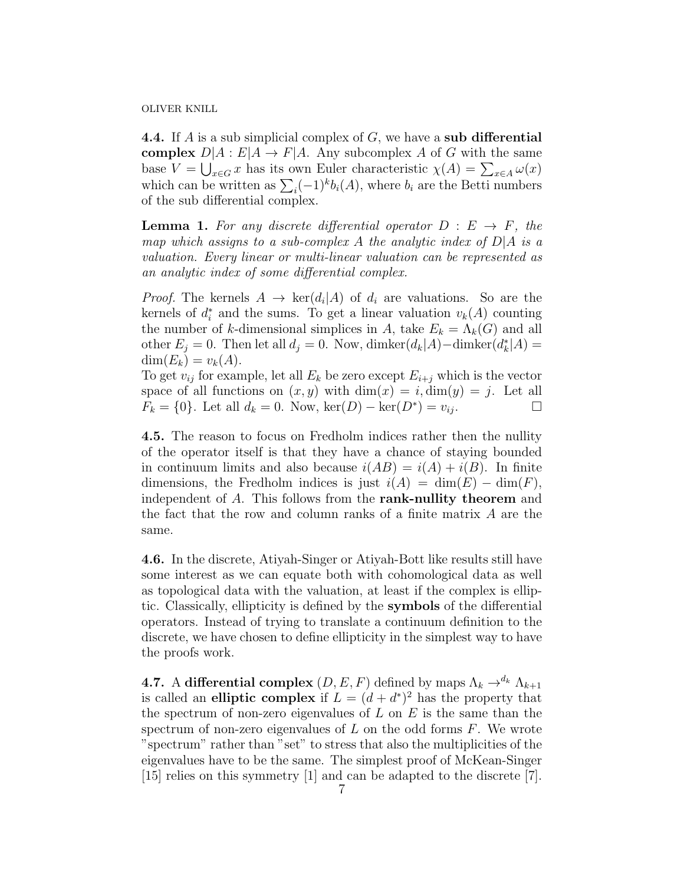**4.4.** If A is a sub simplicial complex of  $G$ , we have a sub differential complex  $D|A: E|A \to F|A$ . Any subcomplex A of G with the same base  $V = \bigcup_{x \in G} x$  has its own Euler characteristic  $\chi(A) = \sum_{x \in A} \omega(x)$ which can be written as  $\sum_i (-1)^k b_i(A)$ , where  $b_i$  are the Betti numbers of the sub differential complex.

**Lemma 1.** For any discrete differential operator  $D : E \rightarrow F$ , the map which assigns to a sub-complex A the analytic index of  $D|A$  is a valuation. Every linear or multi-linear valuation can be represented as an analytic index of some differential complex.

*Proof.* The kernels  $A \to \text{ker}(d_i|A)$  of  $d_i$  are valuations. So are the kernels of  $d_i^*$  and the sums. To get a linear valuation  $v_k(A)$  counting the number of k-dimensional simplices in A, take  $E_k = \Lambda_k(G)$  and all other  $E_j = 0$ . Then let all  $d_j = 0$ . Now, dimker $(d_k|A) -$ dimker $(d_k^*|A) =$  $\dim(E_k) = v_k(A).$ 

To get  $v_{ij}$  for example, let all  $E_k$  be zero except  $E_{i+j}$  which is the vector space of all functions on  $(x, y)$  with  $\dim(x) = i, \dim(y) = j$ . Let all  $F_k = \{0\}$ . Let all  $d_k = 0$ . Now,  $\ker(D) - \ker(D^*) = v_{ij}$ .

4.5. The reason to focus on Fredholm indices rather then the nullity of the operator itself is that they have a chance of staying bounded in continuum limits and also because  $i(AB) = i(A) + i(B)$ . In finite dimensions, the Fredholm indices is just  $i(A) = \dim(E) - \dim(F)$ , independent of A. This follows from the **rank-nullity theorem** and the fact that the row and column ranks of a finite matrix A are the same.

4.6. In the discrete, Atiyah-Singer or Atiyah-Bott like results still have some interest as we can equate both with cohomological data as well as topological data with the valuation, at least if the complex is elliptic. Classically, ellipticity is defined by the symbols of the differential operators. Instead of trying to translate a continuum definition to the discrete, we have chosen to define ellipticity in the simplest way to have the proofs work.

**4.7.** A differential complex  $(D, E, F)$  defined by maps  $\Lambda_k \to^{d_k} \Lambda_{k+1}$ is called an elliptic complex if  $L = (d + d^*)^2$  has the property that the spectrum of non-zero eigenvalues of  $L$  on  $E$  is the same than the spectrum of non-zero eigenvalues of  $L$  on the odd forms  $F$ . We wrote "spectrum" rather than "set" to stress that also the multiplicities of the eigenvalues have to be the same. The simplest proof of McKean-Singer [15] relies on this symmetry [1] and can be adapted to the discrete [7].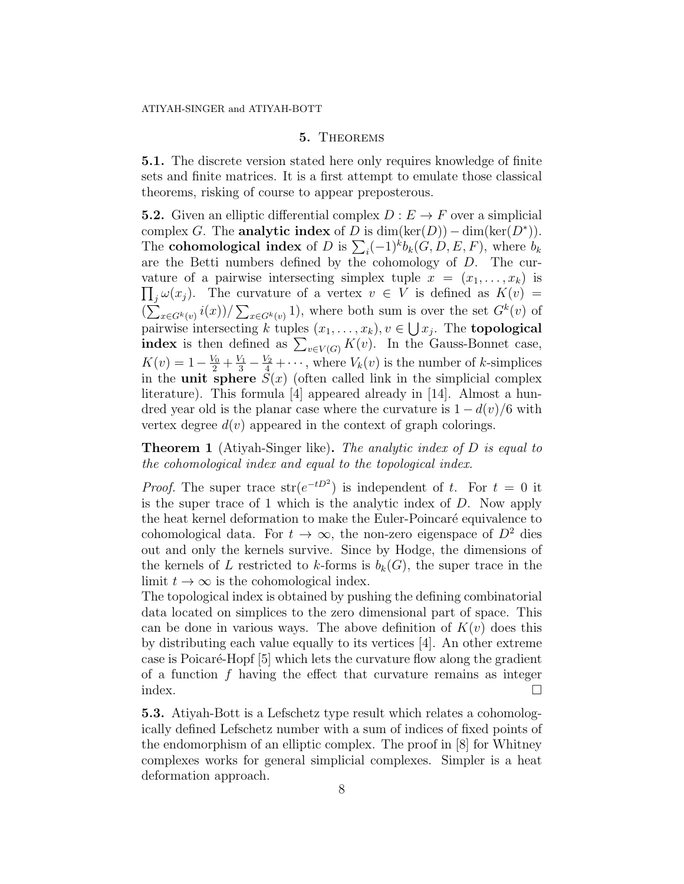# 5. Theorems

5.1. The discrete version stated here only requires knowledge of finite sets and finite matrices. It is a first attempt to emulate those classical theorems, risking of course to appear preposterous.

**5.2.** Given an elliptic differential complex  $D : E \to F$  over a simplicial complex G. The analytic index of D is  $\dim(\ker(D)) - \dim(\ker(D^*)).$ The **cohomological index** of D is  $\sum_i (-1)^k b_k(G, D, E, F)$ , where  $b_k$ are the Betti numbers defined by the cohomology of D. The curvature of a pairwise intersecting simplex tuple  $x = (x_1, \ldots, x_k)$  is  $\prod_j \omega(x_j)$ . The curvature of a vertex  $v \in V$  is defined as  $K(v) =$  $\left(\sum_{x \in G^k(v)} i(x)\right) / \sum_{x \in G^k(v)} 1$ , where both sum is over the set  $G^k(v)$  of pairwise intersecting k tuples  $(x_1, \ldots, x_k), v \in \bigcup x_j$ . The **topological index** is then defined as  $\sum_{v \in V(G)} K(v)$ . In the Gauss-Bonnet case,  $K(v) = 1 - \frac{V_0}{2} + \frac{V_1}{3} - \frac{V_2}{4} + \cdots$ , where  $V_k(v)$  is the number of k-simplices in the unit sphere  $S(x)$  (often called link in the simplicial complex literature). This formula [4] appeared already in [14]. Almost a hundred year old is the planar case where the curvature is  $1 - d(v)/6$  with vertex degree  $d(v)$  appeared in the context of graph colorings.

**Theorem 1** (Atiyah-Singer like). The analytic index of D is equal to the cohomological index and equal to the topological index.

*Proof.* The super trace  $str(e^{-tD^2})$  is independent of t. For  $t = 0$  it is the super trace of 1 which is the analytic index of D. Now apply the heat kernel deformation to make the Euler-Poincaré equivalence to cohomological data. For  $t \to \infty$ , the non-zero eigenspace of  $D^2$  dies out and only the kernels survive. Since by Hodge, the dimensions of the kernels of L restricted to k-forms is  $b_k(G)$ , the super trace in the limit  $t \to \infty$  is the cohomological index.

The topological index is obtained by pushing the defining combinatorial data located on simplices to the zero dimensional part of space. This can be done in various ways. The above definition of  $K(v)$  does this by distributing each value equally to its vertices [4]. An other extreme case is Poicaré-Hopf [5] which lets the curvature flow along the gradient of a function  $f$  having the effect that curvature remains as integer index.  $\Box$ 

5.3. Atiyah-Bott is a Lefschetz type result which relates a cohomologically defined Lefschetz number with a sum of indices of fixed points of the endomorphism of an elliptic complex. The proof in [8] for Whitney complexes works for general simplicial complexes. Simpler is a heat deformation approach.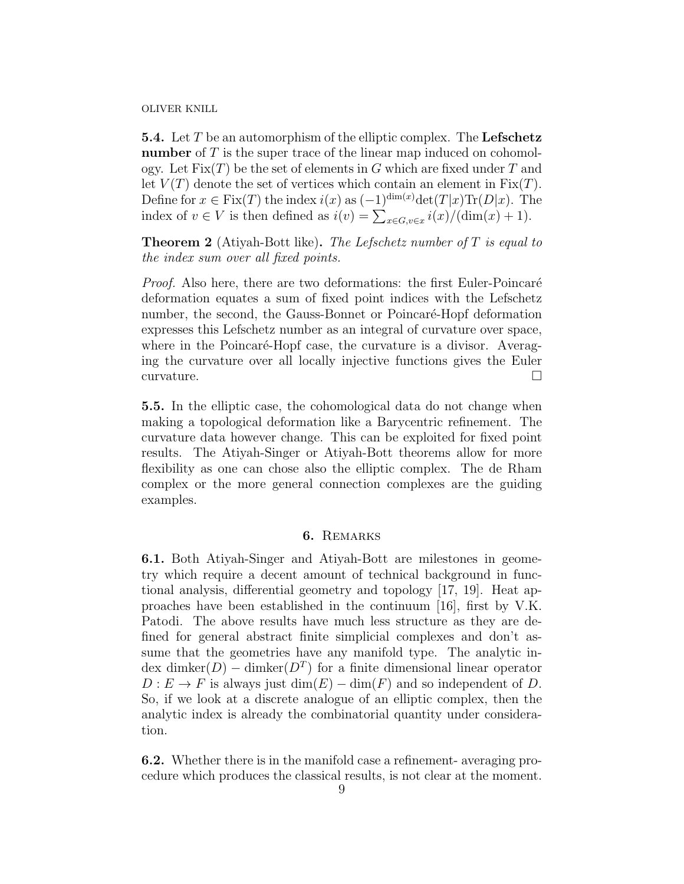**5.4.** Let  $T$  be an automorphism of the elliptic complex. The Lefschetz number of T is the super trace of the linear map induced on cohomology. Let  $Fix(T)$  be the set of elements in G which are fixed under T and let  $V(T)$  denote the set of vertices which contain an element in  $Fix(T)$ . Define for  $x \in \text{Fix}(T)$  the index  $i(x)$  as  $(-1)^{\dim(x)} \text{det}(T|x) \text{Tr}(D|x)$ . The index of  $v \in V$  is then defined as  $i(v) = \sum_{x \in G, v \in x} i(x) / (\dim(x) + 1)$ .

**Theorem 2** (Atiyah-Bott like). The Lefschetz number of  $T$  is equal to the index sum over all fixed points.

*Proof.* Also here, there are two deformations: the first Euler-Poincaré deformation equates a sum of fixed point indices with the Lefschetz number, the second, the Gauss-Bonnet or Poincaré-Hopf deformation expresses this Lefschetz number as an integral of curvature over space, where in the Poincaré-Hopf case, the curvature is a divisor. Averaging the curvature over all locally injective functions gives the Euler curvature.

5.5. In the elliptic case, the cohomological data do not change when making a topological deformation like a Barycentric refinement. The curvature data however change. This can be exploited for fixed point results. The Atiyah-Singer or Atiyah-Bott theorems allow for more flexibility as one can chose also the elliptic complex. The de Rham complex or the more general connection complexes are the guiding examples.

## 6. Remarks

6.1. Both Atiyah-Singer and Atiyah-Bott are milestones in geometry which require a decent amount of technical background in functional analysis, differential geometry and topology [17, 19]. Heat approaches have been established in the continuum [16], first by V.K. Patodi. The above results have much less structure as they are defined for general abstract finite simplicial complexes and don't assume that the geometries have any manifold type. The analytic index dimker $(D)$  – dimker $(D<sup>T</sup>)$  for a finite dimensional linear operator  $D: E \to F$  is always just  $\dim(E) - \dim(F)$  and so independent of D. So, if we look at a discrete analogue of an elliptic complex, then the analytic index is already the combinatorial quantity under consideration.

6.2. Whether there is in the manifold case a refinement- averaging procedure which produces the classical results, is not clear at the moment.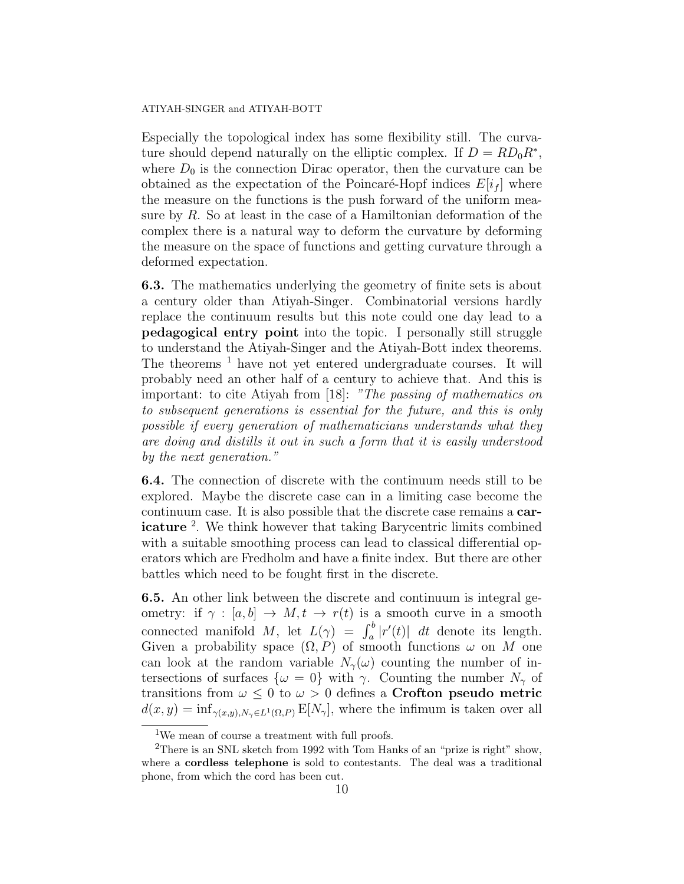### ATIYAH-SINGER and ATIYAH-BOTT

Especially the topological index has some flexibility still. The curvature should depend naturally on the elliptic complex. If  $D = RD_0 R^*$ , where  $D_0$  is the connection Dirac operator, then the curvature can be obtained as the expectation of the Poincaré-Hopf indices  $E[i_f]$  where the measure on the functions is the push forward of the uniform measure by R. So at least in the case of a Hamiltonian deformation of the complex there is a natural way to deform the curvature by deforming the measure on the space of functions and getting curvature through a deformed expectation.

6.3. The mathematics underlying the geometry of finite sets is about a century older than Atiyah-Singer. Combinatorial versions hardly replace the continuum results but this note could one day lead to a pedagogical entry point into the topic. I personally still struggle to understand the Atiyah-Singer and the Atiyah-Bott index theorems. The theorems <sup>1</sup> have not yet entered undergraduate courses. It will probably need an other half of a century to achieve that. And this is important: to cite Atiyah from [18]: "The passing of mathematics on to subsequent generations is essential for the future, and this is only possible if every generation of mathematicians understands what they are doing and distills it out in such a form that it is easily understood by the next generation."

6.4. The connection of discrete with the continuum needs still to be explored. Maybe the discrete case can in a limiting case become the continuum case. It is also possible that the discrete case remains a caricature<sup>2</sup>. We think however that taking Barycentric limits combined with a suitable smoothing process can lead to classical differential operators which are Fredholm and have a finite index. But there are other battles which need to be fought first in the discrete.

6.5. An other link between the discrete and continuum is integral geometry: if  $\gamma : [a, b] \to M, t \to r(t)$  is a smooth curve in a smooth connected manifold M, let  $L(\gamma) = \int_a^b |r'(t)| dt$  denote its length. Given a probability space  $(\Omega, P)$  of smooth functions  $\omega$  on M one can look at the random variable  $N_{\gamma}(\omega)$  counting the number of intersections of surfaces  $\{\omega = 0\}$  with  $\gamma$ . Counting the number  $N_{\gamma}$  of transitions from  $\omega \leq 0$  to  $\omega > 0$  defines a Crofton pseudo metric  $d(x, y) = \inf_{\gamma(x, y), N_{\gamma} \in L^{1}(\Omega, P)} E[N_{\gamma}],$  where the infimum is taken over all

<sup>&</sup>lt;sup>1</sup>We mean of course a treatment with full proofs.

<sup>&</sup>lt;sup>2</sup>There is an SNL sketch from 1992 with Tom Hanks of an "prize is right" show, where a cordless telephone is sold to contestants. The deal was a traditional phone, from which the cord has been cut.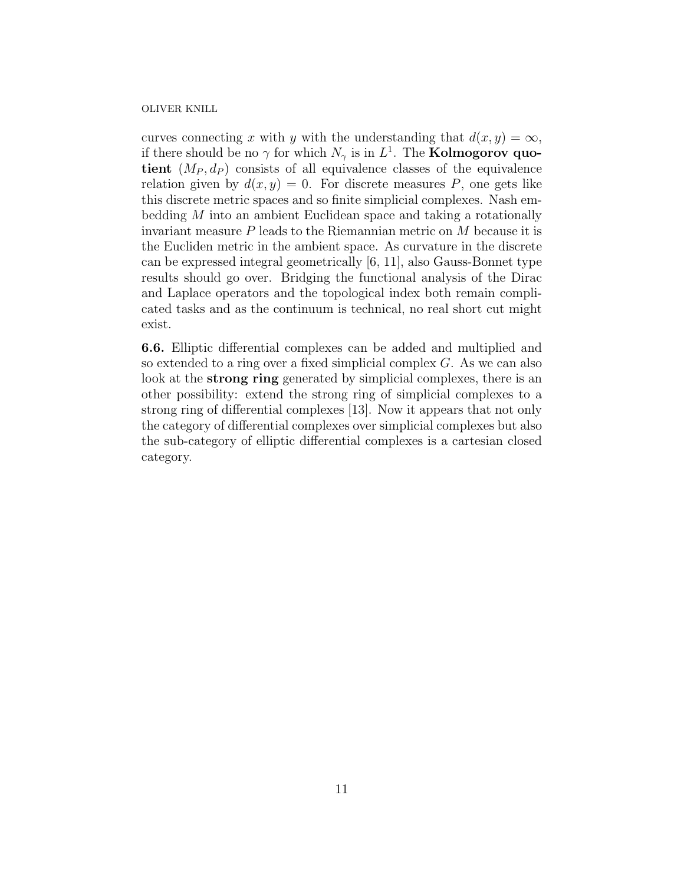curves connecting x with y with the understanding that  $d(x, y) = \infty$ , if there should be no  $\gamma$  for which  $N_{\gamma}$  is in  $L^{1}$ . The **Kolmogorov quo**tient  $(M_P, d_P)$  consists of all equivalence classes of the equivalence relation given by  $d(x, y) = 0$ . For discrete measures P, one gets like this discrete metric spaces and so finite simplicial complexes. Nash embedding M into an ambient Euclidean space and taking a rotationally invariant measure P leads to the Riemannian metric on M because it is the Eucliden metric in the ambient space. As curvature in the discrete can be expressed integral geometrically [6, 11], also Gauss-Bonnet type results should go over. Bridging the functional analysis of the Dirac and Laplace operators and the topological index both remain complicated tasks and as the continuum is technical, no real short cut might exist.

6.6. Elliptic differential complexes can be added and multiplied and so extended to a ring over a fixed simplicial complex G. As we can also look at the **strong ring** generated by simplicial complexes, there is an other possibility: extend the strong ring of simplicial complexes to a strong ring of differential complexes [13]. Now it appears that not only the category of differential complexes over simplicial complexes but also the sub-category of elliptic differential complexes is a cartesian closed category.